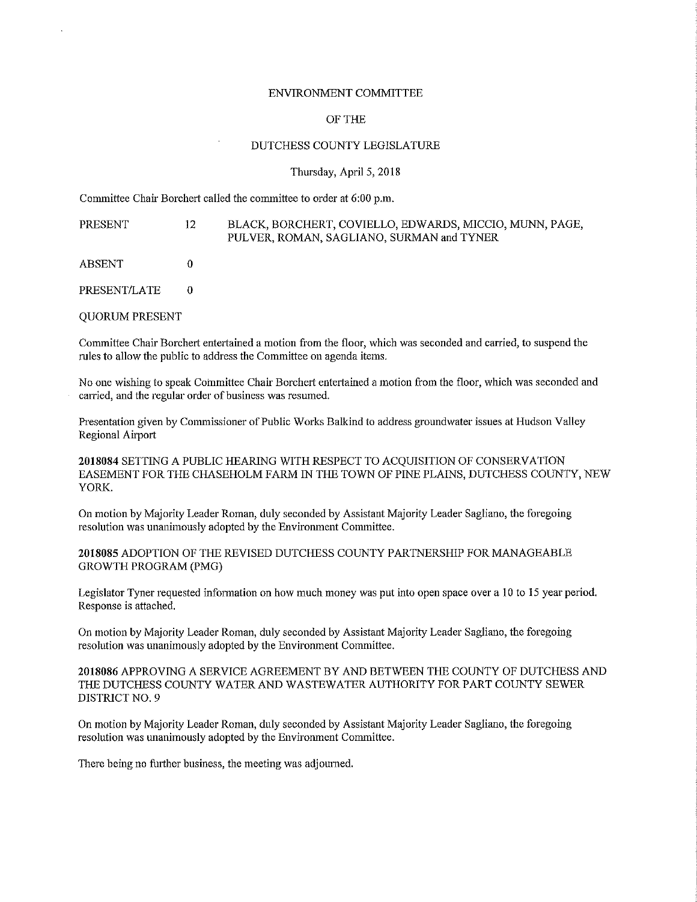## ENVIRONMENT COMMITTEE

## OF THE

## DUTCHESS COUNTY LEGISLATURE

## Thursday, April 5, 2018

Committee Chair Borchert called the committee to order at 6:00 p.m.

| PRESENT               | 12 | BLACK, BORCHERT, COVIELLO, EDWARDS, MICCIO, MUNN, PAGE,<br>PULVER, ROMAN, SAGLIANO, SURMAN and TYNER |
|-----------------------|----|------------------------------------------------------------------------------------------------------|
| ABSENT                |    |                                                                                                      |
| <b>PRESENT/LATE</b>   |    |                                                                                                      |
| <b>OUORUM PRESENT</b> |    |                                                                                                      |

Committee Chair Borchert entertained a motion from the floor, which was seconded and carried, to suspend the mies to allow the public to address the Committee on agenda items.

No one wishing to speak Committee Chair Borchert entertained a motion from the floor, which was seconded and **carried, and the regular order of business was resumed.** 

Presentation given by Commissioner of Public Works Balkind to address groundwater issues at Hudson Valley Regional Airport

**2018084** SETTING A PUBLIC HEARING WITH RESPECT TO ACQUISITION OF CONSERVATION EASEMENT FOR THE CHASEHOLM FARM IN THE TOWN OF PINE PLAINS, DUTCHESS COUNTY, NEW YORK.

On motion by Majority Leader Roman, duly seconded by Assistant Majority Leader Sagliano, the foregoing resolution was unanimously adopted by the Environment Committee.

**2018085** ADOPTION OF THE REVISED DUTCHESS COUNTY PARTNERSHIP FOR MANAGEABLE GROWTH PROGRAM (PMG)

Legislator Tyner requested information on how much money was put into open space over a 10 to 15 year period. Response is attached.

On motion by Majority Leader Roman, duly seconded by Assistant Majority Leader Sagliano, the foregoing resolution was unanimously adopted by the Environment Committee.

**2018086** APPROVING A SERVICE AGREEMENT BY AND BETWEEN THE COUNTY OF DUTCHESS AND THE DUTCHESS COUNTY WATER AND WASTEWATER AUTHORITY FOR PART COUNTY SEWER DISTRICT NO. 9

On motion by Majority Leader Roman, duly secouded by Assistant Majority Leader Sagliano, the foregoing resolution was unanimously adopted by the Enviromnent Committee.

There being no further business, the meeting was adjourned.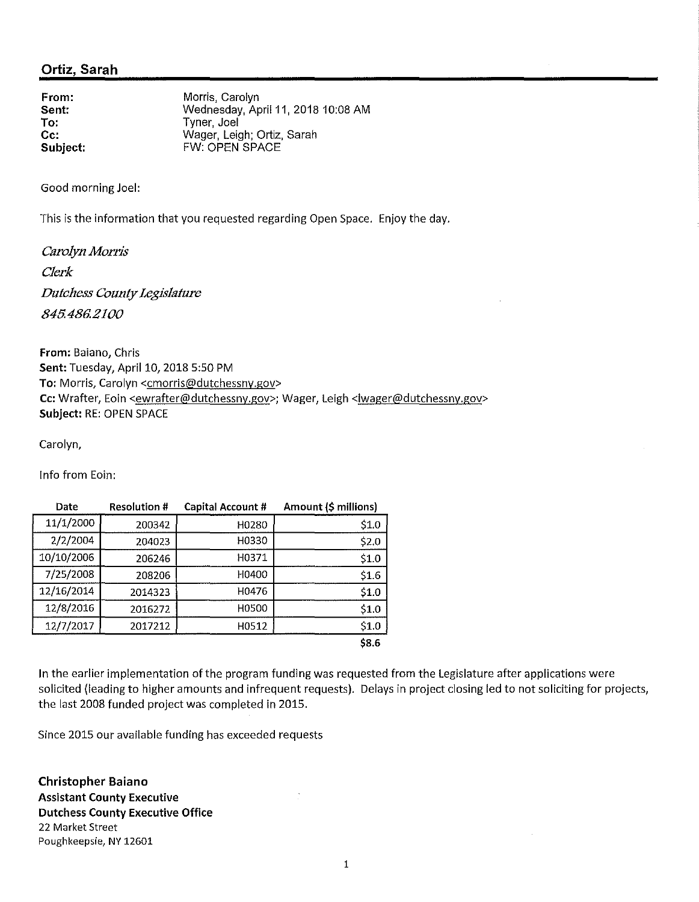From: Morris, Carolyn Sent: To: Wednesday, April 11, 2018 10:08 AM Tyner, Joel Cc: Subject: Wager, Leigh; Ortiz, Sarah FW: OPEN SPACE

Good morning Joel:

This is the information that you requested regarding Open Space. Enjoy the day.

*Carolyn Morris Clerk Dutchess County Legislature 845.486.2100* 

From: Baiano, Chris Sent: Tuesday, April 10, 2018 5:50 PM To: Morris, Carolyn <cmorris@dutchessny.gov> Cc: Wrafter, Eoin <ewrafter@dutchessny.gov>; Wager, Leigh <lwager@dutchessny.gov> Subject: RE: OPEN SPACE

Carolyn,

Info from Eoin:

| Date       | <b>Resolution #</b> | Capital Account # | Amount (\$ millions) |
|------------|---------------------|-------------------|----------------------|
| 11/1/2000  | 200342              | H0280             | \$1.0                |
| 2/2/2004   | 204023              | H0330             | \$2.0                |
| 10/10/2006 | 206246              | H0371             | \$1.0                |
| 7/25/2008  | 208206              | H0400             | \$1.6                |
| 12/16/2014 | 2014323             | H0476             | \$1.0                |
| 12/8/2016  | 2016272             | H0500             | \$1.0                |
| 12/7/2017  | 2017212             | H0512             | \$1.0                |
|            |                     |                   | \$8.6                |

In the earlier implementation of the program funding was requested from the Legislature after applications were solicited (leading to higher amounts and infrequent requests). Delays in project closing led to not soliciting for projects, the last 2008 funded project was completed in 2015.

Since 2015 our available funding has exceeded requests

Christopher Baiano Assistant County Executive Dutchess County Executive Office 22 Market Street Poughkeepsie, NY 12601